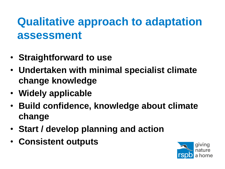## **Qualitative approach to adaptation assessment**

- **Straightforward to use**
- **Undertaken with minimal specialist climate change knowledge**
- **Widely applicable**
- **Build confidence, knowledge about climate change**
- **Start / develop planning and action**
- **Consistent outputs**

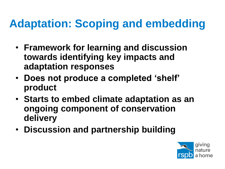## **Adaptation: Scoping and embedding**

- **Framework for learning and discussion towards identifying key impacts and adaptation responses**
- **Does not produce a completed 'shelf' product**
- **Starts to embed climate adaptation as an ongoing component of conservation delivery**
- **Discussion and partnership building**

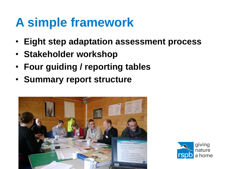## **A simple framework**

• **Eight step adaptation assessment process**

giving

nature a home

- **Stakeholder workshop**
- **Four guiding / reporting tables**
- **Summary report structure**

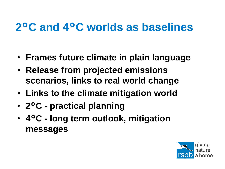## **2°C and 4°C worlds as baselines**

- **Frames future climate in plain language**
- **Release from projected emissions scenarios, links to real world change**
- **Links to the climate mitigation world**
- **2°C - practical planning**
- **4°C - long term outlook, mitigation messages**

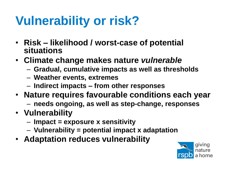# **Vulnerability or risk?**

- **Risk – likelihood / worst-case of potential situations**
- **Climate change makes nature** *vulnerable*
	- **Gradual, cumulative impacts as well as thresholds**
	- **Weather events, extremes**
	- **Indirect impacts – from other responses**
- **Nature requires favourable conditions each year**
	- **needs ongoing, as well as step-change, responses**
- **Vulnerability**
	- **Impact = exposure x sensitivity**
	- **Vulnerability = potential impact x adaptation**
- **Adaptation reduces vulnerability**

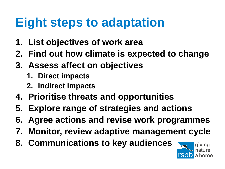## **Eight steps to adaptation**

- **1. List objectives of work area**
- **2. Find out how climate is expected to change**
- **3. Assess affect on objectives**
	- **1. Direct impacts**
	- **2. Indirect impacts**
- **4. Prioritise threats and opportunities**
- **5. Explore range of strategies and actions**
- **6. Agree actions and revise work programmes**
- **7. Monitor, review adaptive management cycle**
- **8. Communications to key audiences**

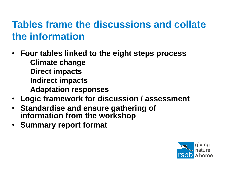## **Tables frame the discussions and collate the information**

- **Four tables linked to the eight steps process**
	- **Climate change**
	- **Direct impacts**
	- **Indirect impacts**
	- **Adaptation responses**
- **Logic framework for discussion / assessment**
- **Standardise and ensure gathering of information from the workshop**
- **Summary report format**

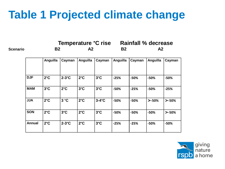## **Table 1 Projected climate change**

|                 |               | Temperature °C rise |               |               |               | <b>Rainfall % decrease</b> |        |          |          |
|-----------------|---------------|---------------------|---------------|---------------|---------------|----------------------------|--------|----------|----------|
| <b>Scenario</b> |               | <b>B2</b>           |               | A2            |               | <b>B2</b>                  |        | A2       |          |
|                 |               | Anguilla            | Cayman        | Anguilla      | Cayman        | Anguilla                   | Cayman | Anguilla | Cayman   |
|                 | <b>DJF</b>    | $2^{\circ}C$        | $2-3$ °C      | $2^{\circ}C$  | $3^{\circ}$ C | $-25%$                     | -50%   | -50%     | -50%     |
|                 | <b>MAM</b>    | $3^{\circ}$ C       | $2^{\circ}C$  | $3^{\circ}$ C | $3^{\circ}$ C | $-50%$                     | $-25%$ | $-50%$   | $-25%$   |
|                 | <b>JJA</b>    | $2^{\circ}C$        | 3 °C          | $2^{\circ}C$  | $3-4$ °C      | $-50%$                     | $-50%$ | $> -50%$ | $> -50%$ |
|                 | <b>SON</b>    | $2^{\circ}C$        | $3^{\circ}$ C | $2^{\circ}C$  | $3^{\circ}$ C | $-50%$                     | $-50%$ | $-50%$   | $> -50%$ |
|                 | <b>Annual</b> | $2^{\circ}C$        | $2-3$ °C      | $2^{\circ}C$  | $3^{\circ}$ C | $-25%$                     | $-25%$ | $-50%$   | $-50%$   |

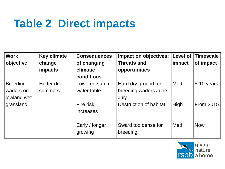## **Table 2 Direct impacts**

| <b>Work</b>     | <b>Key climate</b> | <b>Consequences</b> | <b>Impact on objectives:</b> | Level of | <b>Timescale</b> |
|-----------------|--------------------|---------------------|------------------------------|----------|------------------|
| objective       | change             | of changing         | <b>Threats and</b>           | impact   | of impact        |
|                 | impacts            | climatic            | opportunities                |          |                  |
|                 |                    | conditions          |                              |          |                  |
| <b>Breeding</b> | Hotter drier       | Lowered summer      | Hard dry ground for          | Med      | 5-10 years       |
| waders on       | summers            | water table         | breeding waders June-        |          |                  |
| lowland wet     |                    |                     | July                         |          |                  |
| grassland       |                    | Fire risk           | Destruction of habitat       | High     | <b>From 2015</b> |
|                 |                    | increases           |                              |          |                  |
|                 |                    |                     |                              |          |                  |
|                 |                    | Early / longer      | Sward too dense for          | Med      | <b>Now</b>       |
|                 |                    | growing             | breeding                     |          |                  |

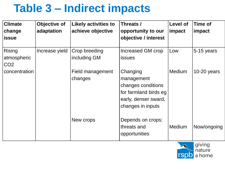## **Table 3 – Indirect impacts**

| <b>Climate</b><br>change<br><b>issue</b>        | Objective of<br>adaptation | <b>Likely activities to</b><br>achieve objective | Threats /<br>opportunity to our<br>objective / interest                                                            | Level of<br>impact | <b>Time of</b><br>impact |
|-------------------------------------------------|----------------------------|--------------------------------------------------|--------------------------------------------------------------------------------------------------------------------|--------------------|--------------------------|
| <b>Rising</b><br>atmospheric<br>CO <sub>2</sub> | Increase yield             | Crop breeding<br>including GM                    | Increased GM crop<br><b>issues</b>                                                                                 | Low                | 5-15 years               |
| concentration                                   |                            | Field management<br>changes                      | Changing<br>management<br>changes conditions<br>for farmland birds eg<br>early, denser sward,<br>changes in inputs | <b>Medium</b>      | $10-20$ years            |
|                                                 |                            | New crops                                        | Depends on crops:<br>threats and<br>opportunities                                                                  | <b>Medium</b>      | Now/ongoing              |

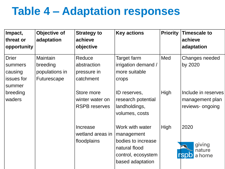## **Table 4 – Adaptation responses**

| Impact,<br>threat or<br>opportunity                                    | Objective of<br>adaptation                                          | <b>Strategy to</b><br>achieve<br>objective                      | <b>Key actions</b>                                                                                             | <b>Priority</b> | <b>Timescale to</b><br>achieve<br>adaptation     |
|------------------------------------------------------------------------|---------------------------------------------------------------------|-----------------------------------------------------------------|----------------------------------------------------------------------------------------------------------------|-----------------|--------------------------------------------------|
| <b>Drier</b><br>summers<br>causing<br>issues for<br>summer<br>breeding | <b>Maintain</b><br>breeding<br>populations in<br><b>Futurescape</b> | Reduce<br>abstraction<br>pressure in<br>catchment<br>Store more | Target farm<br>irrigation demand /<br>more suitable<br>crops<br>ID reserves,                                   | Med<br>High     | Changes needed<br>by 2020<br>Include in reserves |
| waders                                                                 |                                                                     | winter water on<br><b>RSPB</b> reserves                         | research potential<br>landholdings,<br>volumes, costs                                                          |                 | management plan<br>reviews- ongoing              |
|                                                                        |                                                                     | Increase<br>wetland areas in<br>floodplains                     | Work with water<br>management<br>bodies to increase<br>natural flood<br>control, ecosystem<br>based adaptation | High            | 2020<br>giving<br>nature<br>a home               |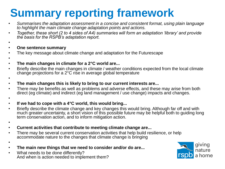## **Summary reporting framework**

- *Summarises the adaptation assessment in a concise and consistent format, using plain language to highlight the main climate change adaptation points and actions.*
- *Together, these short (2 to 4 sides of A4) summaries will form an adaptation 'library' and provide the basis for the RSPB's adaptation report.*
- •

•

- **One sentence summary**
- The key message about climate change and adaptation for the Futurescape
- **The main changes in climate for a 2°C world are...**
- Briefly describe the main changes in climate / weather conditions expected from the local climate change projections for a 2°C rise in average global temperature
- •
- **The main changes this is likely to bring to our current interests are...**
- There may be benefits as well as problems and adverse effects, and these may arise from both direct (eg climate) and indirect (eg land management / use change) impacts and changes.
- •
- **If we had to cope with a 4°C world, this would bring...**
- Briefly describe the climate change and key changes this would bring. Although far off and with much greater uncertainty, a short vision of this possible future may be helpful both to guiding long term conservation action, and to inform mitigation action.
- •

•

- **Current activities that contribute to meeting climate change are...**
- There may be several current conservation activities that help build resilience, or help accommodate nature to the changes that climate change is bringing
- **The main new things that we need to consider and/or do are...**
- What needs to be done differently? And when is action needed to implement them?

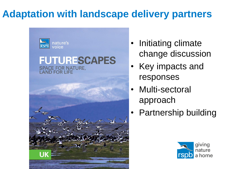## **Adaptation with landscape delivery partners**



## **FUTURESCAPES** SPACE FOR NATURE,



- Initiating climate change discussion
- Key impacts and responses
- Multi-sectoral approach
- Partnership building

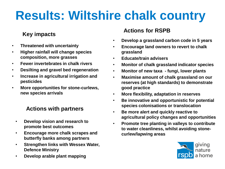# **Results: Wiltshire chalk country**

- **Threatened with uncertainty**
- **Higher rainfall will change species composition, more grasses**
- **Fewer invertebrates in chalk rivers**
- **Desilting and gravel bed regeneration**
- **Increase in agricultural irrigation and pesticides**
- **More opportunities for stone-curlews, new species arrivals**

### **Actions with partners**

- **Develop vision and research to promote best outcomes**
- **Encourage more chalk scrapes and butterfly banks among partners**
- **Strengthen links with Wessex Water, Defence Ministry**
- **Develop arable plant mapping**

## **Actions for RSPB Key impacts**

- **Develop a grassland carbon code in 5 years**
- **Encourage land owners to revert to chalk grassland**
- **Educate/train advisers**
- **Monitor of chalk grassland indicator species**
- **Monitor of new taxa - fungi, lower plants**
- **Maximise amount of chalk grassland on our reserves (at high standards) to demonstrate good practice**
- **More flexibility, adaptation in reserves**
- **Be innovative and opportunistic for potential species colonisations or translocation**
- **Be more alert and quickly reactive to agricultural policy changes and opportunities**
- **Promote tree planting in valleys to contribute to water cleanliness, whilst avoiding stonecurlew/lapwing areas**

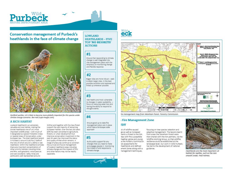

### **Conservation management of Purbeck's** heathlands in the face of climate change



Dartford warbler, UK is likely to become more globally important for this species under climate change scenarios. Ben Hall (rspb-images.com).

#### **A RICH HABITAT**

Lowland Heathland is an extremely valuable and rare habitat, making the Dorset heathlands one of UK's most important wildlife areas - with much of it designated as Special Protection Areas or Special Areas of Conservation under European law. The total Heathland extent in Purbeck is around 3,607ha (7,84% of the NIA) of which around 1.365ha is wet Heathland, Within the Heathland complex there are important concentrations of other priority habitats including mires and fens, acid grassland, wood pasture and wet woodland. Valley mires are particularly well represented (around

325ha) and together with the New forest support the vast majority of remaining European habitat, Over the last 250 years 85% has been converted to agriculture, forestry or urban development but intensive conservation investment in the past 30 years has improved the status and quality of that which remains. A range of pressures continue to constrain the survival and future management of lowland Heathland areas including climate change and the impacts of this and other factors may not be readily separable.

#### **LOWLAND HEATHLANDS-FIVE TOP 'NO REGRETS' ACTIONS**

### #1

Ensure that responding to climate change is well integrated into site management plans with the emphasis on monitoring change and flexible response

### #2

Bigger sites are more robust - seek to attain larger sites, in the best possible condition and restored and linked up wherever possible

### #3

Wet heaths are most vulnerable to changes in water availability focus on reducing water loss and having the ability to respond to drought events

### #4

Ensure good up to date fire management plans are in place which take a landscape scale approach

### #5

Build public support for any changes that you need to make and engage people in monitoring the impact of and response to climate change

### **Wild**



ire management map from Wareham Forest. Forestry Commission.

### **Fire Management Zone IDY**

sk of wildfire caused ge as well as increased

isk assessments for

sents a threat to the NIA reas with fire susceptible heather, gorse and young e the Forestry Commission heathlands and defined ement Zones along with a guidance. nanagement techniques.

focusing on tree species selection and adaptive management. The lessons learnt from areas like Wareham Forest were then shared with the NIA partners, via the Wildfire Working Group, so that wildfire resilience could be established at the landscape level. Our work in Wild Purbeck, has led to the development of national



Heathlands are the most important UK habitat for reptiles, such as the rare smooth snake. Fred Holmes.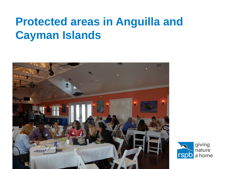## **Protected areas in Anguilla and Cayman Islands**



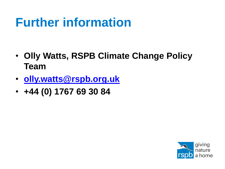# **Further information**

- **Olly Watts, RSPB Climate Change Policy Team**
- **[olly.watts@rspb.org.uk](mailto:olly.watts@rspb.org.uk)**
- **+44 (0) 1767 69 30 84**

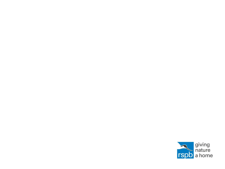